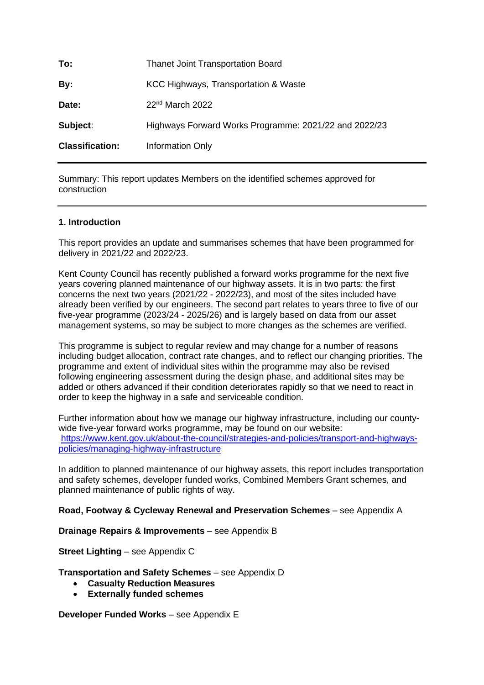| To:                    | <b>Thanet Joint Transportation Board</b>              |  |
|------------------------|-------------------------------------------------------|--|
| By:                    | KCC Highways, Transportation & Waste                  |  |
| Date:                  | $22nd$ March 2022                                     |  |
| Subject:               | Highways Forward Works Programme: 2021/22 and 2022/23 |  |
| <b>Classification:</b> | Information Only                                      |  |
|                        |                                                       |  |

Summary: This report updates Members on the identified schemes approved for construction

#### **1. Introduction**

This report provides an update and summarises schemes that have been programmed for delivery in 2021/22 and 2022/23.

Kent County Council has recently published a forward works programme for the next five years covering planned maintenance of our highway assets. It is in two parts: the first concerns the next two years (2021/22 - 2022/23), and most of the sites included have already been verified by our engineers. The second part relates to years three to five of our five-year programme (2023/24 - 2025/26) and is largely based on data from our asset management systems, so may be subject to more changes as the schemes are verified.

This programme is subject to regular review and may change for a number of reasons including budget allocation, contract rate changes, and to reflect our changing priorities. The programme and extent of individual sites within the programme may also be revised following engineering assessment during the design phase, and additional sites may be added or others advanced if their condition deteriorates rapidly so that we need to react in order to keep the highway in a safe and serviceable condition.

Further information about how we manage our highway infrastructure, including our countywide five-year forward works programme, may be found on our website: [https://www.kent.gov.uk/about-the-council/strategies-and-policies/transport-and-highways](https://www.kent.gov.uk/about-the-council/strategies-and-policies/transport-and-highways-policies/managing-highway-infrastructure)[policies/managing-highway-infrastructure](https://www.kent.gov.uk/about-the-council/strategies-and-policies/transport-and-highways-policies/managing-highway-infrastructure)

In addition to planned maintenance of our highway assets, this report includes transportation and safety schemes, developer funded works, Combined Members Grant schemes, and planned maintenance of public rights of way.

#### **Road, Footway & Cycleway Renewal and Preservation Schemes** – see Appendix A

**Drainage Repairs & Improvements** – see Appendix B

**Street Lighting** – see Appendix C

**Transportation and Safety Schemes** – see Appendix D

- **Casualty Reduction Measures**
- **Externally funded schemes**

**Developer Funded Works** – see Appendix E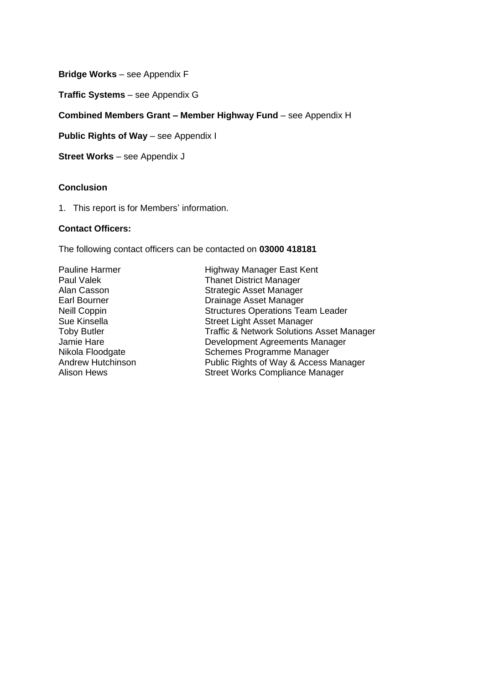**Bridge Works** – see Appendix F

**Traffic Systems** – see Appendix G

#### **Combined Members Grant – Member Highway Fund** – see Appendix H

**Public Rights of Way** – see Appendix I

**Street Works** – see Appendix J

#### **Conclusion**

1. This report is for Members' information.

#### **Contact Officers:**

The following contact officers can be contacted on **03000 418181**

Pauline Harmer **Highway Manager East Kent** Paul Valek Thanet District Manager Alan Casson Strategic Asset Manager Earl Bourner **Drainage Asset Manager** Neill Coppin Structures Operations Team Leader Sue Kinsella Street Light Asset Manager Toby Butler Traffic & Network Solutions Asset Manager Jamie Hare **Development Agreements Manager**<br>
Nikola Floodgate **Nikola Floodgate** Schemes Programme Manager Nikola Floodgate Schemes Programme Manager<br>Andrew Hutchinson Public Rights of Way & Access Andrew Hutchinson **Public Rights of Way & Access Manager**<br>Alison Hews **Public Rights Compliance Manager** Street Works Compliance Manager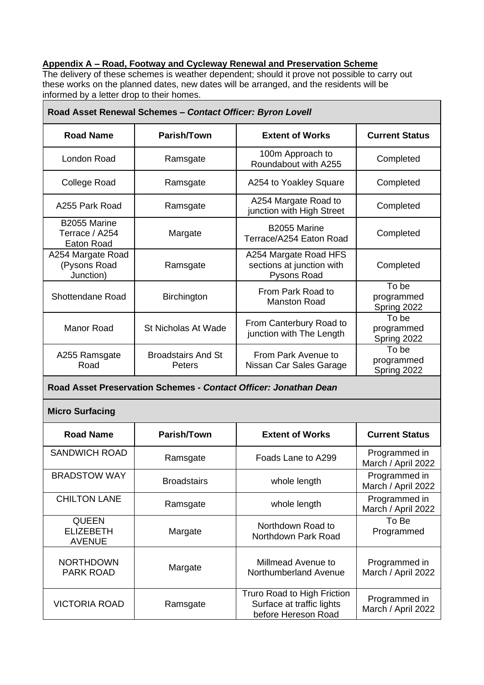# **Appendix A – Road, Footway and Cycleway Renewal and Preservation Scheme**

The delivery of these schemes is weather dependent; should it prove not possible to carry out these works on the planned dates, new dates will be arranged, and the residents will be informed by a letter drop to their homes.

| Road Asset Renewal Schemes - Contact Officer: Byron Lovell       |                                     |                                                                                 |                                     |
|------------------------------------------------------------------|-------------------------------------|---------------------------------------------------------------------------------|-------------------------------------|
| <b>Road Name</b>                                                 | Parish/Town                         | <b>Extent of Works</b>                                                          | <b>Current Status</b>               |
| <b>London Road</b>                                               | Ramsgate                            | 100m Approach to<br>Roundabout with A255                                        | Completed                           |
| <b>College Road</b>                                              | Ramsgate                            | A254 to Yoakley Square                                                          | Completed                           |
| A255 Park Road                                                   | Ramsgate                            | A254 Margate Road to<br>junction with High Street                               | Completed                           |
| B2055 Marine<br>Terrace / A254<br><b>Eaton Road</b>              | Margate                             | B2055 Marine<br>Terrace/A254 Eaton Road                                         | Completed                           |
| A254 Margate Road<br>(Pysons Road<br>Junction)                   | Ramsgate                            | A254 Margate Road HFS<br>sections at junction with<br><b>Pysons Road</b>        | Completed                           |
| <b>Shottendane Road</b>                                          | <b>Birchington</b>                  | From Park Road to<br><b>Manston Road</b>                                        | To be<br>programmed<br>Spring 2022  |
| <b>Manor Road</b>                                                | <b>St Nicholas At Wade</b>          | From Canterbury Road to<br>junction with The Length                             | To be<br>programmed<br>Spring 2022  |
| A255 Ramsgate<br>Road                                            | <b>Broadstairs And St</b><br>Peters | From Park Avenue to<br>Nissan Car Sales Garage                                  | To be<br>programmed<br>Spring 2022  |
| Road Asset Preservation Schemes - Contact Officer: Jonathan Dean |                                     |                                                                                 |                                     |
| <b>Micro Surfacing</b>                                           |                                     |                                                                                 |                                     |
| <b>Road Name</b>                                                 | Parish/Town                         | <b>Extent of Works</b>                                                          | <b>Current Status</b>               |
| <b>SANDWICH ROAD</b>                                             | Ramsgate                            | Foads Lane to A299                                                              | Programmed in<br>March / April 2022 |
| <b>BRADSTOW WAY</b>                                              | <b>Broadstairs</b>                  | whole length                                                                    | Programmed in<br>March / April 2022 |
| <b>CHILTON LANE</b>                                              | Ramsgate                            | whole length                                                                    | Programmed in<br>March / April 2022 |
| <b>QUEEN</b><br><b>ELIZEBETH</b><br><b>AVENUE</b>                | Margate                             | Northdown Road to<br>Northdown Park Road                                        | To Be<br>Programmed                 |
| <b>NORTHDOWN</b><br><b>PARK ROAD</b>                             | Margate                             | Millmead Avenue to<br>Northumberland Avenue                                     | Programmed in<br>March / April 2022 |
| <b>VICTORIA ROAD</b>                                             | Ramsgate                            | Truro Road to High Friction<br>Surface at traffic lights<br>before Hereson Road | Programmed in<br>March / April 2022 |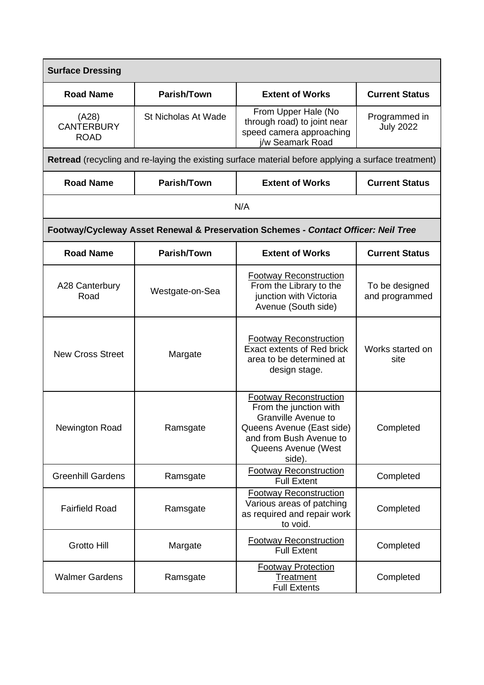| <b>Surface Dressing</b>                   |                            |                                                                                                                                                                                |                                   |
|-------------------------------------------|----------------------------|--------------------------------------------------------------------------------------------------------------------------------------------------------------------------------|-----------------------------------|
| <b>Road Name</b>                          | Parish/Town                | <b>Extent of Works</b>                                                                                                                                                         | <b>Current Status</b>             |
| (A28)<br><b>CANTERBURY</b><br><b>ROAD</b> | <b>St Nicholas At Wade</b> | From Upper Hale (No<br>through road) to joint near<br>speed camera approaching<br>i/w Seamark Road                                                                             | Programmed in<br><b>July 2022</b> |
|                                           |                            | Retread (recycling and re-laying the existing surface material before applying a surface treatment)                                                                            |                                   |
| <b>Road Name</b>                          | Parish/Town                | <b>Extent of Works</b>                                                                                                                                                         | <b>Current Status</b>             |
|                                           |                            | N/A                                                                                                                                                                            |                                   |
|                                           |                            | Footway/Cycleway Asset Renewal & Preservation Schemes - Contact Officer: Neil Tree                                                                                             |                                   |
| <b>Road Name</b>                          | Parish/Town                | <b>Extent of Works</b>                                                                                                                                                         | <b>Current Status</b>             |
| A28 Canterbury<br>Road                    | Westgate-on-Sea            | <b>Footway Reconstruction</b><br>From the Library to the<br>junction with Victoria<br>Avenue (South side)                                                                      | To be designed<br>and programmed  |
| <b>New Cross Street</b>                   | Margate                    | <b>Footway Reconstruction</b><br><b>Exact extents of Red brick</b><br>area to be determined at<br>design stage.                                                                | Works started on<br>site          |
| Newington Road                            | Ramsgate                   | <b>Footway Reconstruction</b><br>From the junction with<br><b>Granville Avenue to</b><br>Queens Avenue (East side)<br>and from Bush Avenue to<br>Queens Avenue (West<br>side). | Completed                         |
| <b>Greenhill Gardens</b>                  | Ramsgate                   | <b>Footway Reconstruction</b><br><b>Full Extent</b>                                                                                                                            | Completed                         |
| <b>Fairfield Road</b>                     | Ramsgate                   | <b>Footway Reconstruction</b><br>Various areas of patching<br>as required and repair work<br>to void.                                                                          | Completed                         |
| <b>Grotto Hill</b>                        | Margate                    | <b>Footway Reconstruction</b><br><b>Full Extent</b>                                                                                                                            | Completed                         |
| <b>Walmer Gardens</b>                     | Ramsgate                   | <b>Footway Protection</b><br><b>Treatment</b><br><b>Full Extents</b>                                                                                                           | Completed                         |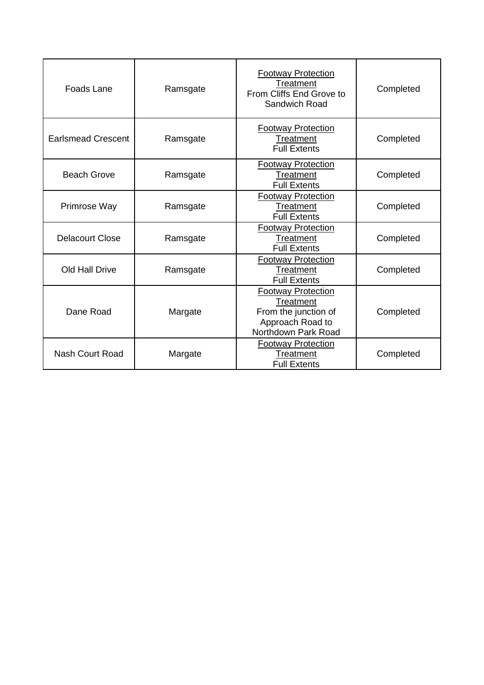| Foads Lane                | Ramsgate | <b>Footway Protection</b><br><b>Treatment</b><br>From Cliffs End Grove to<br>Sandwich Road                | Completed |
|---------------------------|----------|-----------------------------------------------------------------------------------------------------------|-----------|
| <b>Earlsmead Crescent</b> | Ramsgate | <b>Footway Protection</b><br>Treatment<br><b>Full Extents</b>                                             | Completed |
| <b>Beach Grove</b>        | Ramsgate | <b>Footway Protection</b><br>Treatment<br><b>Full Extents</b>                                             | Completed |
| Primrose Way              | Ramsgate | <b>Footway Protection</b><br>Treatment<br><b>Full Extents</b>                                             | Completed |
| <b>Delacourt Close</b>    | Ramsgate | <b>Footway Protection</b><br><b>Treatment</b><br><b>Full Extents</b>                                      | Completed |
| Old Hall Drive            | Ramsgate | <b>Footway Protection</b><br><b>Treatment</b><br><b>Full Extents</b>                                      | Completed |
| Dane Road                 | Margate  | <b>Footway Protection</b><br>Treatment<br>From the junction of<br>Approach Road to<br>Northdown Park Road | Completed |
| <b>Nash Court Road</b>    | Margate  | <b>Footway Protection</b><br>Treatment<br><b>Full Extents</b>                                             | Completed |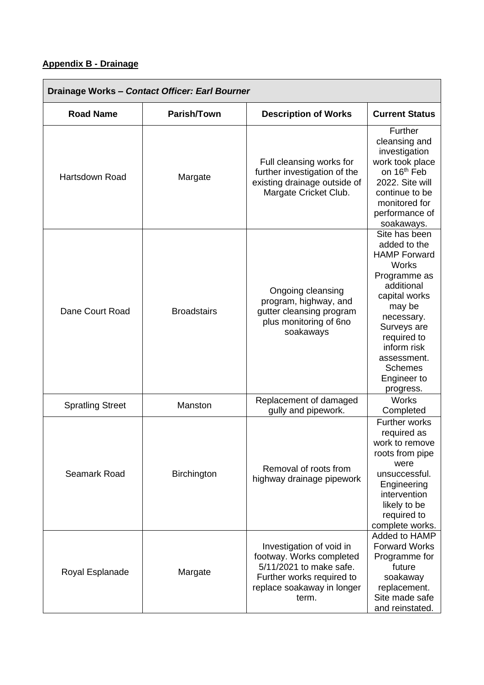## **Appendix B - Drainage**

| Drainage Works - Contact Officer: Earl Bourner |                    |                                                                                                                                                     |                                                                                                                                                                                                                                                       |
|------------------------------------------------|--------------------|-----------------------------------------------------------------------------------------------------------------------------------------------------|-------------------------------------------------------------------------------------------------------------------------------------------------------------------------------------------------------------------------------------------------------|
| <b>Road Name</b>                               | Parish/Town        | <b>Description of Works</b>                                                                                                                         | <b>Current Status</b>                                                                                                                                                                                                                                 |
| <b>Hartsdown Road</b>                          | Margate            | Full cleansing works for<br>further investigation of the<br>existing drainage outside of<br>Margate Cricket Club.                                   | Further<br>cleansing and<br>investigation<br>work took place<br>on 16 <sup>th</sup> Feb<br>2022. Site will<br>continue to be<br>monitored for<br>performance of<br>soakaways.                                                                         |
| Dane Court Road                                | <b>Broadstairs</b> | Ongoing cleansing<br>program, highway, and<br>gutter cleansing program<br>plus monitoring of 6no<br>soakaways                                       | Site has been<br>added to the<br><b>HAMP Forward</b><br><b>Works</b><br>Programme as<br>additional<br>capital works<br>may be<br>necessary.<br>Surveys are<br>required to<br>inform risk<br>assessment.<br><b>Schemes</b><br>Engineer to<br>progress. |
| <b>Spratling Street</b>                        | Manston            | Replacement of damaged<br>gully and pipework.                                                                                                       | <b>Works</b><br>Completed                                                                                                                                                                                                                             |
| <b>Seamark Road</b>                            | <b>Birchington</b> | Removal of roots from<br>highway drainage pipework                                                                                                  | Further works<br>required as<br>work to remove<br>roots from pipe<br>were<br>unsuccessful.<br>Engineering<br>intervention<br>likely to be<br>required to<br>complete works.                                                                           |
| Royal Esplanade                                | Margate            | Investigation of void in<br>footway. Works completed<br>5/11/2021 to make safe.<br>Further works required to<br>replace soakaway in longer<br>term. | Added to HAMP<br><b>Forward Works</b><br>Programme for<br>future<br>soakaway<br>replacement.<br>Site made safe<br>and reinstated.                                                                                                                     |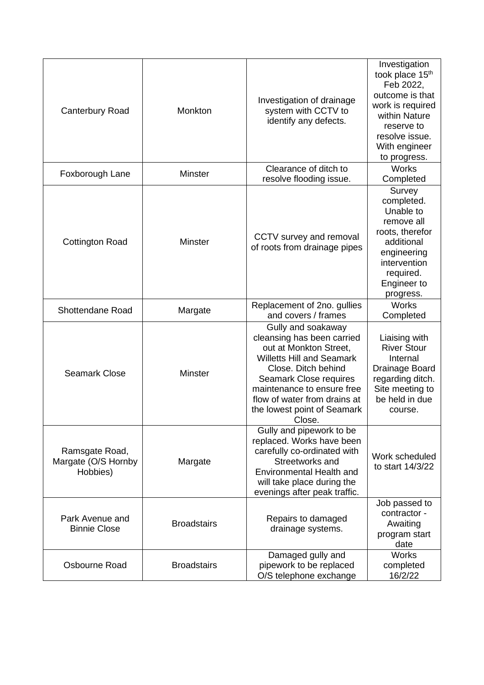| <b>Canterbury Road</b>                            | Monkton            | Investigation of drainage<br>system with CCTV to<br>identify any defects.                                                                                                                                                                                              | Investigation<br>took place 15 <sup>th</sup><br>Feb 2022,<br>outcome is that<br>work is required<br>within Nature<br>reserve to<br>resolve issue.<br>With engineer<br>to progress. |
|---------------------------------------------------|--------------------|------------------------------------------------------------------------------------------------------------------------------------------------------------------------------------------------------------------------------------------------------------------------|------------------------------------------------------------------------------------------------------------------------------------------------------------------------------------|
| Foxborough Lane                                   | <b>Minster</b>     | Clearance of ditch to<br>resolve flooding issue.                                                                                                                                                                                                                       | <b>Works</b><br>Completed                                                                                                                                                          |
| <b>Cottington Road</b>                            | <b>Minster</b>     | CCTV survey and removal<br>of roots from drainage pipes                                                                                                                                                                                                                | Survey<br>completed.<br>Unable to<br>remove all<br>roots, therefor<br>additional<br>engineering<br>intervention<br>required.<br>Engineer to<br>progress.                           |
| <b>Shottendane Road</b>                           | Margate            | Replacement of 2no. gullies<br>and covers / frames                                                                                                                                                                                                                     | Works<br>Completed                                                                                                                                                                 |
| <b>Seamark Close</b>                              | <b>Minster</b>     | Gully and soakaway<br>cleansing has been carried<br>out at Monkton Street,<br><b>Willetts Hill and Seamark</b><br>Close. Ditch behind<br>Seamark Close requires<br>maintenance to ensure free<br>flow of water from drains at<br>the lowest point of Seamark<br>Close. | Liaising with<br><b>River Stour</b><br>Internal<br>Drainage Board<br>regarding ditch.<br>Site meeting to<br>be held in due<br>course.                                              |
| Ramsgate Road,<br>Margate (O/S Hornby<br>Hobbies) | Margate            | Gully and pipework to be<br>replaced. Works have been<br>carefully co-ordinated with<br>Streetworks and<br><b>Environmental Health and</b><br>will take place during the<br>evenings after peak traffic.                                                               | Work scheduled<br>to start 14/3/22                                                                                                                                                 |
| Park Avenue and<br><b>Binnie Close</b>            | <b>Broadstairs</b> | Repairs to damaged<br>drainage systems.                                                                                                                                                                                                                                | Job passed to<br>contractor -<br>Awaiting<br>program start<br>date                                                                                                                 |
| Osbourne Road                                     | <b>Broadstairs</b> | Damaged gully and<br>pipework to be replaced<br>O/S telephone exchange                                                                                                                                                                                                 | <b>Works</b><br>completed<br>16/2/22                                                                                                                                               |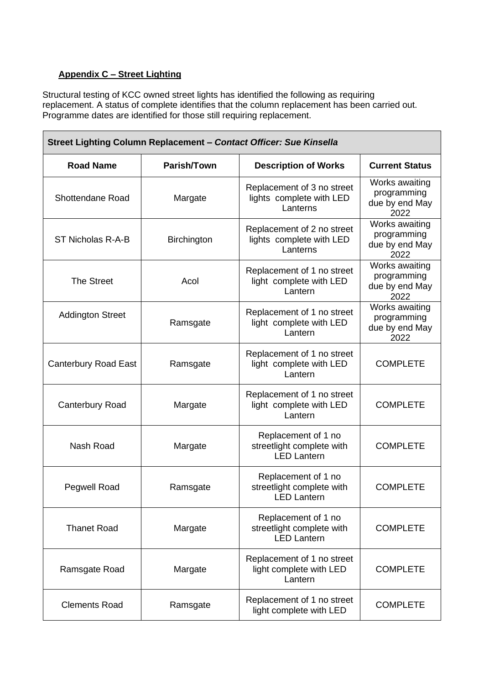## **Appendix C – Street Lighting**

Structural testing of KCC owned street lights has identified the following as requiring replacement. A status of complete identifies that the column replacement has been carried out. Programme dates are identified for those still requiring replacement.

| Street Lighting Column Replacement - Contact Officer: Sue Kinsella |                    |                                                                        |                                                         |
|--------------------------------------------------------------------|--------------------|------------------------------------------------------------------------|---------------------------------------------------------|
| <b>Road Name</b>                                                   | Parish/Town        | <b>Description of Works</b>                                            | <b>Current Status</b>                                   |
| Shottendane Road                                                   | Margate            | Replacement of 3 no street<br>lights complete with LED<br>Lanterns     | Works awaiting<br>programming<br>due by end May<br>2022 |
| ST Nicholas R-A-B                                                  | <b>Birchington</b> | Replacement of 2 no street<br>lights complete with LED<br>Lanterns     | Works awaiting<br>programming<br>due by end May<br>2022 |
| <b>The Street</b>                                                  | Acol               | Replacement of 1 no street<br>light complete with LED<br>Lantern       | Works awaiting<br>programming<br>due by end May<br>2022 |
| <b>Addington Street</b>                                            | Ramsgate           | Replacement of 1 no street<br>light complete with LED<br>Lantern       | Works awaiting<br>programming<br>due by end May<br>2022 |
| <b>Canterbury Road East</b>                                        | Ramsgate           | Replacement of 1 no street<br>light complete with LED<br>Lantern       | <b>COMPLETE</b>                                         |
| <b>Canterbury Road</b>                                             | Margate            | Replacement of 1 no street<br>light complete with LED<br>Lantern       | <b>COMPLETE</b>                                         |
| Nash Road                                                          | Margate            | Replacement of 1 no<br>streetlight complete with<br><b>LED Lantern</b> | <b>COMPLETE</b>                                         |
| Pegwell Road                                                       | Ramsgate           | Replacement of 1 no<br>streetlight complete with<br><b>LED Lantern</b> | <b>COMPLETE</b>                                         |
| <b>Thanet Road</b>                                                 | Margate            | Replacement of 1 no<br>streetlight complete with<br><b>LED Lantern</b> | <b>COMPLETE</b>                                         |
| Ramsgate Road                                                      | Margate            | Replacement of 1 no street<br>light complete with LED<br>Lantern       | <b>COMPLETE</b>                                         |
| <b>Clements Road</b>                                               | Ramsgate           | Replacement of 1 no street<br>light complete with LED                  | <b>COMPLETE</b>                                         |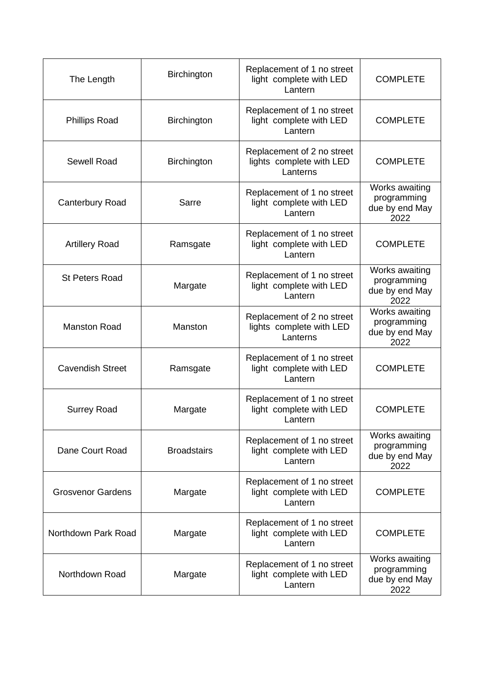| The Length               | Birchington        | Replacement of 1 no street<br>light complete with LED<br>Lantern   | <b>COMPLETE</b>                                         |
|--------------------------|--------------------|--------------------------------------------------------------------|---------------------------------------------------------|
| <b>Phillips Road</b>     | Birchington        | Replacement of 1 no street<br>light complete with LED<br>Lantern   | <b>COMPLETE</b>                                         |
| Sewell Road              | Birchington        | Replacement of 2 no street<br>lights complete with LED<br>Lanterns | <b>COMPLETE</b>                                         |
| <b>Canterbury Road</b>   | Sarre              | Replacement of 1 no street<br>light complete with LED<br>Lantern   | Works awaiting<br>programming<br>due by end May<br>2022 |
| <b>Artillery Road</b>    | Ramsgate           | Replacement of 1 no street<br>light complete with LED<br>Lantern   | <b>COMPLETE</b>                                         |
| <b>St Peters Road</b>    | Margate            | Replacement of 1 no street<br>light complete with LED<br>Lantern   | Works awaiting<br>programming<br>due by end May<br>2022 |
| <b>Manston Road</b>      | Manston            | Replacement of 2 no street<br>lights complete with LED<br>Lanterns | Works awaiting<br>programming<br>due by end May<br>2022 |
| <b>Cavendish Street</b>  | Ramsgate           | Replacement of 1 no street<br>light complete with LED<br>Lantern   | <b>COMPLETE</b>                                         |
| <b>Surrey Road</b>       | Margate            | Replacement of 1 no street<br>light complete with LED<br>Lantern   | <b>COMPLETE</b>                                         |
| Dane Court Road          | <b>Broadstairs</b> | Replacement of 1 no street<br>light complete with LED<br>Lantern   | Works awaiting<br>programming<br>due by end May<br>2022 |
| <b>Grosvenor Gardens</b> | Margate            | Replacement of 1 no street<br>light complete with LED<br>Lantern   | <b>COMPLETE</b>                                         |
| Northdown Park Road      | Margate            | Replacement of 1 no street<br>light complete with LED<br>Lantern   | <b>COMPLETE</b>                                         |
| Northdown Road           | Margate            | Replacement of 1 no street<br>light complete with LED<br>Lantern   | Works awaiting<br>programming<br>due by end May<br>2022 |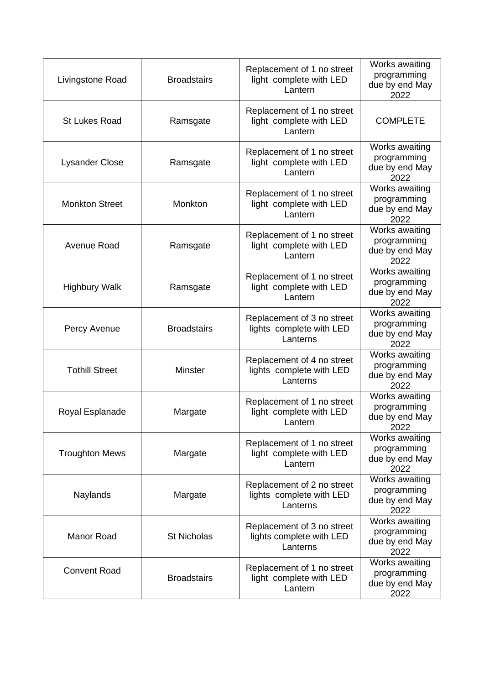| Livingstone Road      | <b>Broadstairs</b> | Replacement of 1 no street<br>light complete with LED<br>Lantern   | Works awaiting<br>programming<br>due by end May<br>2022 |
|-----------------------|--------------------|--------------------------------------------------------------------|---------------------------------------------------------|
| <b>St Lukes Road</b>  | Ramsgate           | Replacement of 1 no street<br>light complete with LED<br>Lantern   | <b>COMPLETE</b>                                         |
| <b>Lysander Close</b> | Ramsgate           | Replacement of 1 no street<br>light complete with LED<br>Lantern   | Works awaiting<br>programming<br>due by end May<br>2022 |
| <b>Monkton Street</b> | Monkton            | Replacement of 1 no street<br>light complete with LED<br>Lantern   | Works awaiting<br>programming<br>due by end May<br>2022 |
| Avenue Road           | Ramsgate           | Replacement of 1 no street<br>light complete with LED<br>Lantern   | Works awaiting<br>programming<br>due by end May<br>2022 |
| <b>Highbury Walk</b>  | Ramsgate           | Replacement of 1 no street<br>light complete with LED<br>Lantern   | Works awaiting<br>programming<br>due by end May<br>2022 |
| Percy Avenue          | <b>Broadstairs</b> | Replacement of 3 no street<br>lights complete with LED<br>Lanterns | Works awaiting<br>programming<br>due by end May<br>2022 |
| <b>Tothill Street</b> | Minster            | Replacement of 4 no street<br>lights complete with LED<br>Lanterns | Works awaiting<br>programming<br>due by end May<br>2022 |
| Royal Esplanade       | Margate            | Replacement of 1 no street<br>light complete with LED<br>Lantern   | Works awaiting<br>programming<br>due by end May<br>2022 |
| <b>Troughton Mews</b> | Margate            | Replacement of 1 no street<br>light complete with LED<br>Lantern   | Works awaiting<br>programming<br>due by end May<br>2022 |
| Naylands              | Margate            | Replacement of 2 no street<br>lights complete with LED<br>Lanterns | Works awaiting<br>programming<br>due by end May<br>2022 |
| <b>Manor Road</b>     | <b>St Nicholas</b> | Replacement of 3 no street<br>lights complete with LED<br>Lanterns | Works awaiting<br>programming<br>due by end May<br>2022 |
| <b>Convent Road</b>   | <b>Broadstairs</b> | Replacement of 1 no street<br>light complete with LED<br>Lantern   | Works awaiting<br>programming<br>due by end May<br>2022 |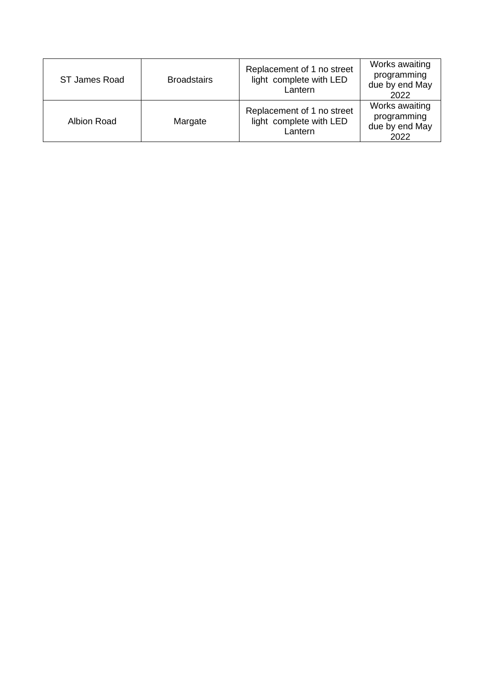| ST James Road      | <b>Broadstairs</b> | Replacement of 1 no street<br>light complete with LED<br>Lantern | Works awaiting<br>programming<br>due by end May<br>2022 |
|--------------------|--------------------|------------------------------------------------------------------|---------------------------------------------------------|
| <b>Albion Road</b> | Margate            | Replacement of 1 no street<br>light complete with LED<br>Lantern | Works awaiting<br>programming<br>due by end May<br>2022 |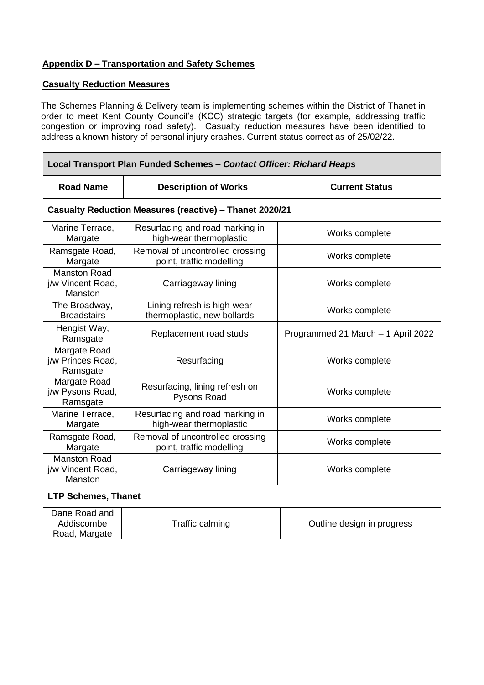### **Appendix D – Transportation and Safety Schemes**

#### **Casualty Reduction Measures**

The Schemes Planning & Delivery team is implementing schemes within the District of Thanet in order to meet Kent County Council's (KCC) strategic targets (for example, addressing traffic congestion or improving road safety). Casualty reduction measures have been identified to address a known history of personal injury crashes. Current status correct as of 25/02/22.

| Local Transport Plan Funded Schemes - Contact Officer: Richard Heaps |                                                                |                                    |  |  |  |
|----------------------------------------------------------------------|----------------------------------------------------------------|------------------------------------|--|--|--|
| <b>Road Name</b>                                                     | <b>Description of Works</b>                                    | <b>Current Status</b>              |  |  |  |
|                                                                      | <b>Casualty Reduction Measures (reactive) - Thanet 2020/21</b> |                                    |  |  |  |
| Marine Terrace,<br>Margate                                           | Resurfacing and road marking in<br>high-wear thermoplastic     | Works complete                     |  |  |  |
| Ramsgate Road,<br>Margate                                            | Removal of uncontrolled crossing<br>point, traffic modelling   | Works complete                     |  |  |  |
| <b>Manston Road</b><br>j/w Vincent Road,<br>Manston                  | Carriageway lining                                             | Works complete                     |  |  |  |
| The Broadway,<br><b>Broadstairs</b>                                  | Lining refresh is high-wear<br>thermoplastic, new bollards     | Works complete                     |  |  |  |
| Hengist Way,<br>Ramsgate                                             | Replacement road studs                                         | Programmed 21 March - 1 April 2022 |  |  |  |
| Margate Road<br>j/w Princes Road,<br>Ramsgate                        | Resurfacing                                                    | Works complete                     |  |  |  |
| Margate Road<br>j/w Pysons Road,<br>Ramsgate                         | Resurfacing, lining refresh on<br>Pysons Road                  | Works complete                     |  |  |  |
| Marine Terrace,<br>Margate                                           | Resurfacing and road marking in<br>high-wear thermoplastic     | Works complete                     |  |  |  |
| Ramsgate Road,<br>Margate                                            | Removal of uncontrolled crossing<br>point, traffic modelling   | Works complete                     |  |  |  |
| <b>Manston Road</b><br>j/w Vincent Road,<br>Manston                  | Carriageway lining                                             | Works complete                     |  |  |  |
| <b>LTP Schemes, Thanet</b>                                           |                                                                |                                    |  |  |  |
| Dane Road and<br>Addiscombe<br>Road, Margate                         | Traffic calming                                                | Outline design in progress         |  |  |  |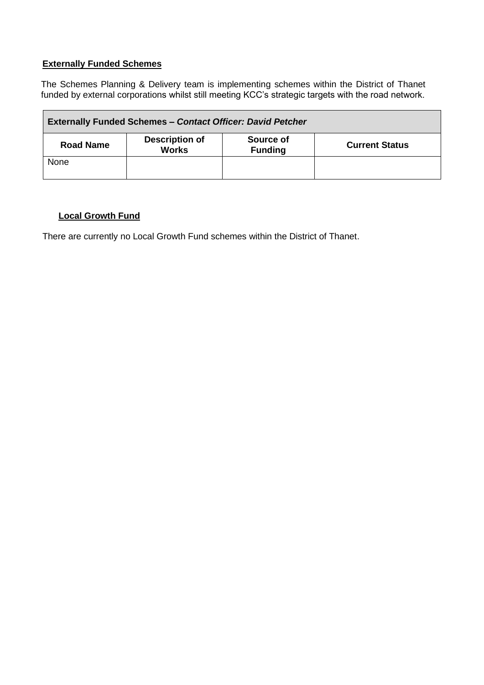#### **Externally Funded Schemes**

The Schemes Planning & Delivery team is implementing schemes within the District of Thanet funded by external corporations whilst still meeting KCC's strategic targets with the road network.

| <b>Externally Funded Schemes - Contact Officer: David Petcher</b>                                                 |  |  |  |  |
|-------------------------------------------------------------------------------------------------------------------|--|--|--|--|
| <b>Description of</b><br>Source of<br><b>Road Name</b><br><b>Current Status</b><br><b>Works</b><br><b>Funding</b> |  |  |  |  |
| None                                                                                                              |  |  |  |  |

#### **Local Growth Fund**

There are currently no Local Growth Fund schemes within the District of Thanet.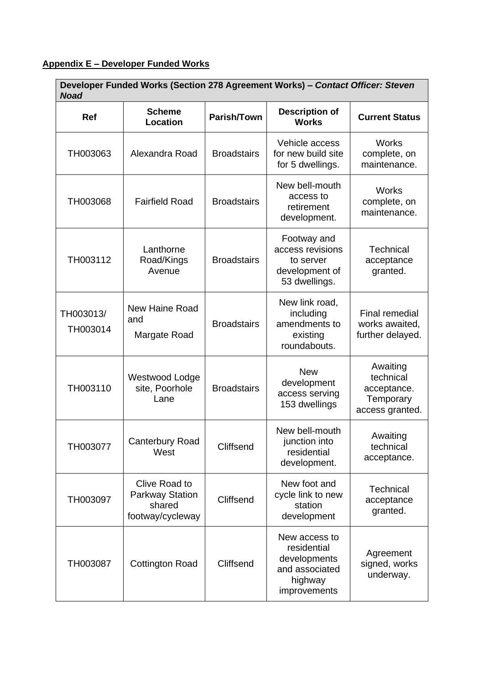## **Appendix E – Developer Funded Works**

| Developer Funded Works (Section 278 Agreement Works) - Contact Officer: Steven<br><b>Noad</b> |                                                                       |                    |                                                                                           |                                                                      |
|-----------------------------------------------------------------------------------------------|-----------------------------------------------------------------------|--------------------|-------------------------------------------------------------------------------------------|----------------------------------------------------------------------|
| Ref                                                                                           | <b>Scheme</b><br><b>Location</b>                                      | Parish/Town        | <b>Description of</b><br><b>Works</b>                                                     | <b>Current Status</b>                                                |
| TH003063                                                                                      | Alexandra Road                                                        | <b>Broadstairs</b> | Vehicle access<br>for new build site<br>for 5 dwellings.                                  | <b>Works</b><br>complete, on<br>maintenance.                         |
| TH003068                                                                                      | <b>Fairfield Road</b>                                                 | <b>Broadstairs</b> | New bell-mouth<br>access to<br>retirement<br>development.                                 | <b>Works</b><br>complete, on<br>maintenance.                         |
| TH003112                                                                                      | Lanthorne<br>Road/Kings<br>Avenue                                     | <b>Broadstairs</b> | Footway and<br>access revisions<br>to server<br>development of<br>53 dwellings.           | <b>Technical</b><br>acceptance<br>granted.                           |
| TH003013/<br>TH003014                                                                         | New Haine Road<br>and<br>Margate Road                                 | <b>Broadstairs</b> | New link road,<br>including<br>amendments to<br>existing<br>roundabouts.                  | Final remedial<br>works awaited,<br>further delayed.                 |
| TH003110                                                                                      | Westwood Lodge<br>site, Poorhole<br>Lane                              | <b>Broadstairs</b> | <b>New</b><br>development<br>access serving<br>153 dwellings                              | Awaiting<br>technical<br>acceptance.<br>Temporary<br>access granted. |
| TH003077                                                                                      | <b>Canterbury Road</b><br>West                                        | Cliffsend          | New bell-mouth<br>junction into<br>residential<br>development.                            | Awaiting<br>technical<br>acceptance.                                 |
| TH003097                                                                                      | Clive Road to<br><b>Parkway Station</b><br>shared<br>footway/cycleway | Cliffsend          | New foot and<br>cycle link to new<br>station<br>development                               | Technical<br>acceptance<br>granted.                                  |
| TH003087                                                                                      | <b>Cottington Road</b>                                                | Cliffsend          | New access to<br>residential<br>developments<br>and associated<br>highway<br>improvements | Agreement<br>signed, works<br>underway.                              |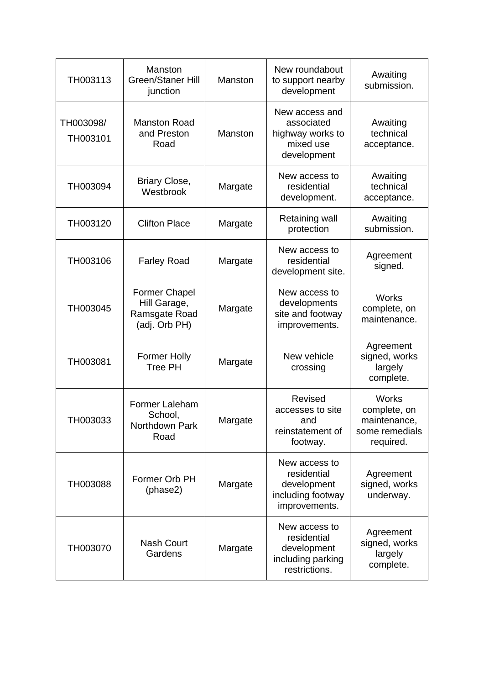| TH003113              | Manston<br><b>Green/Staner Hill</b><br>junction                        | Manston | New roundabout<br>to support nearby<br>development                                | Awaiting<br>submission.                                                     |
|-----------------------|------------------------------------------------------------------------|---------|-----------------------------------------------------------------------------------|-----------------------------------------------------------------------------|
| TH003098/<br>TH003101 | <b>Manston Road</b><br>and Preston<br>Road                             | Manston | New access and<br>associated<br>highway works to<br>mixed use<br>development      | Awaiting<br>technical<br>acceptance.                                        |
| TH003094              | Briary Close,<br>Westbrook                                             | Margate | New access to<br>residential<br>development.                                      | Awaiting<br>technical<br>acceptance.                                        |
| TH003120              | <b>Clifton Place</b>                                                   | Margate | <b>Retaining wall</b><br>protection                                               | Awaiting<br>submission.                                                     |
| TH003106              | <b>Farley Road</b>                                                     | Margate | New access to<br>residential<br>development site.                                 | Agreement<br>signed.                                                        |
| TH003045              | <b>Former Chapel</b><br>Hill Garage,<br>Ramsgate Road<br>(adj. Orb PH) | Margate | New access to<br>developments<br>site and footway<br>improvements.                | <b>Works</b><br>complete, on<br>maintenance.                                |
| TH003081              | <b>Former Holly</b><br><b>Tree PH</b>                                  | Margate | New vehicle<br>crossing                                                           | Agreement<br>signed, works<br>largely<br>complete.                          |
| TH003033              | Former Laleham<br>School,<br>Northdown Park<br>Road                    | Margate | Revised<br>accesses to site<br>and<br>reinstatement of<br>footway.                | <b>Works</b><br>complete, on<br>maintenance,<br>some remedials<br>required. |
| TH003088              | Former Orb PH<br>(phase2)                                              | Margate | New access to<br>residential<br>development<br>including footway<br>improvements. | Agreement<br>signed, works<br>underway.                                     |
| TH003070              | <b>Nash Court</b><br>Gardens                                           | Margate | New access to<br>residential<br>development<br>including parking<br>restrictions. | Agreement<br>signed, works<br>largely<br>complete.                          |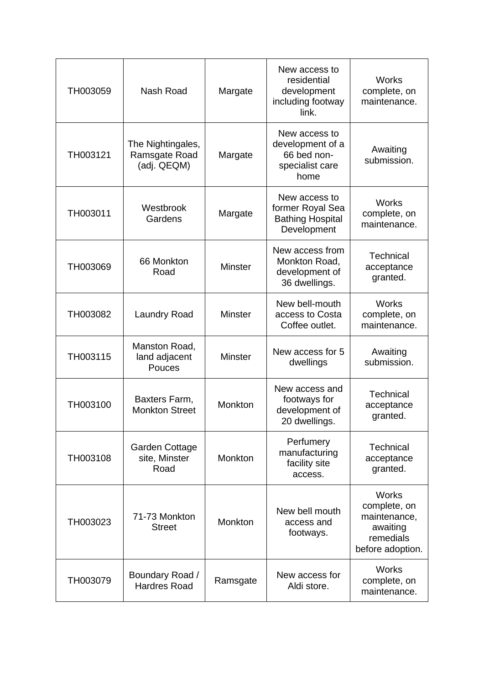| TH003059 | Nash Road                                         | Margate        | New access to<br>residential<br>development<br>including footway<br>link.   | <b>Works</b><br>complete, on<br>maintenance.                                              |
|----------|---------------------------------------------------|----------------|-----------------------------------------------------------------------------|-------------------------------------------------------------------------------------------|
| TH003121 | The Nightingales,<br>Ramsgate Road<br>(adj. QEQM) | Margate        | New access to<br>development of a<br>66 bed non-<br>specialist care<br>home |                                                                                           |
| TH003011 | Westbrook<br>Gardens                              | Margate        | New access to<br>former Royal Sea<br><b>Bathing Hospital</b><br>Development | <b>Works</b><br>complete, on<br>maintenance.                                              |
| TH003069 | 66 Monkton<br>Road                                | <b>Minster</b> | New access from<br>Monkton Road,<br>development of<br>36 dwellings.         | <b>Technical</b><br>acceptance<br>granted.                                                |
| TH003082 | <b>Laundry Road</b>                               | <b>Minster</b> | New bell-mouth<br>access to Costa<br>Coffee outlet.                         | <b>Works</b><br>complete, on<br>maintenance.                                              |
| TH003115 | Manston Road,<br>land adjacent<br>Pouces          | <b>Minster</b> | New access for 5<br>dwellings                                               | Awaiting<br>submission.                                                                   |
| TH003100 | Baxters Farm,<br><b>Monkton Street</b>            | Monkton        | New access and<br>footways for<br>development of<br>20 dwellings.           | Technical<br>acceptance<br>granted.                                                       |
| TH003108 | <b>Garden Cottage</b><br>site, Minster<br>Road    | Monkton        | Perfumery<br>manufacturing<br>facility site<br>access.                      | <b>Technical</b><br>acceptance<br>granted.                                                |
| TH003023 | 71-73 Monkton<br><b>Street</b>                    | Monkton        | New bell mouth<br>access and<br>footways.                                   | <b>Works</b><br>complete, on<br>maintenance,<br>awaiting<br>remedials<br>before adoption. |
| TH003079 | Boundary Road /<br><b>Hardres Road</b>            | Ramsgate       | New access for<br>Aldi store.                                               | <b>Works</b><br>complete, on<br>maintenance.                                              |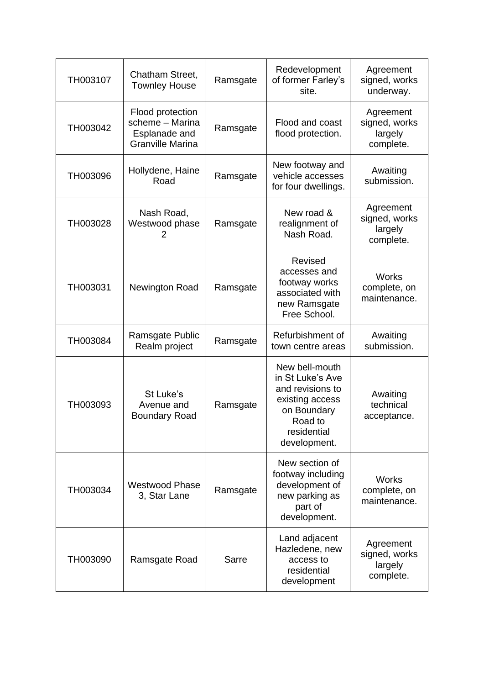| TH003107 | Chatham Street,<br><b>Townley House</b>                                         | Ramsgate | Redevelopment<br>of former Farley's<br>site.                                                                                       | Agreement<br>signed, works<br>underway.            |
|----------|---------------------------------------------------------------------------------|----------|------------------------------------------------------------------------------------------------------------------------------------|----------------------------------------------------|
| TH003042 | Flood protection<br>scheme - Marina<br>Esplanade and<br><b>Granville Marina</b> | Ramsgate | Flood and coast<br>flood protection.                                                                                               | Agreement<br>signed, works<br>largely<br>complete. |
| TH003096 | Hollydene, Haine<br>Road                                                        | Ramsgate | New footway and<br>vehicle accesses<br>for four dwellings.                                                                         | Awaiting<br>submission.                            |
| TH003028 | Nash Road,<br>Westwood phase<br>2                                               | Ramsgate | New road &<br>realignment of<br>Nash Road.                                                                                         | Agreement<br>signed, works<br>largely<br>complete. |
| TH003031 | Newington Road                                                                  | Ramsgate | <b>Revised</b><br>accesses and<br>footway works<br>associated with<br>new Ramsgate<br>Free School.                                 | <b>Works</b><br>complete, on<br>maintenance.       |
| TH003084 | Ramsgate Public<br>Realm project                                                | Ramsgate | Refurbishment of<br>town centre areas                                                                                              | Awaiting<br>submission.                            |
| TH003093 | St Luke's<br>Avenue and<br><b>Boundary Road</b>                                 | Ramsgate | New bell-mouth<br>in St Luke's Ave<br>and revisions to<br>existing access<br>on Boundary<br>Road to<br>residential<br>development. | Awaiting<br>technical<br>acceptance.               |
| TH003034 | <b>Westwood Phase</b><br>3, Star Lane                                           | Ramsgate | New section of<br>footway including<br>development of<br>new parking as<br>part of<br>development.                                 | <b>Works</b><br>complete, on<br>maintenance.       |
| TH003090 | Ramsgate Road                                                                   | Sarre    | Land adjacent<br>Hazledene, new<br>access to<br>residential<br>development                                                         | Agreement<br>signed, works<br>largely<br>complete. |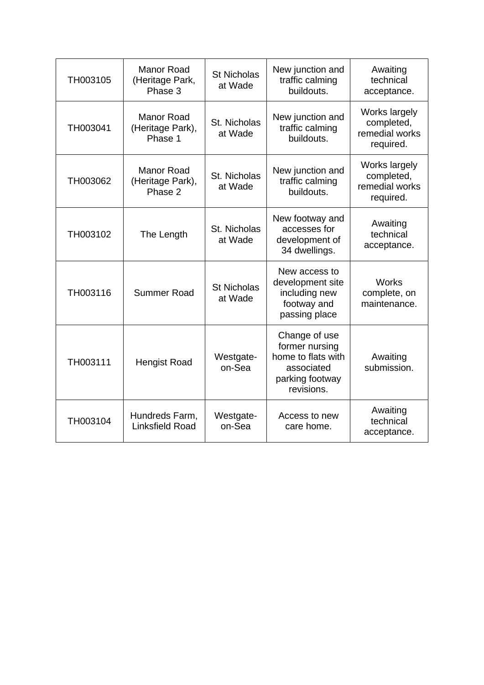| TH003105 | <b>Manor Road</b><br>(Heritage Park,<br>Phase 3  | <b>St Nicholas</b><br>at Wade | New junction and<br>traffic calming<br>buildouts.                                                    | Awaiting<br>technical<br>acceptance.                       |
|----------|--------------------------------------------------|-------------------------------|------------------------------------------------------------------------------------------------------|------------------------------------------------------------|
| TH003041 | <b>Manor Road</b><br>(Heritage Park),<br>Phase 1 | St. Nicholas<br>at Wade       | New junction and<br>traffic calming<br>buildouts.                                                    |                                                            |
| TH003062 | <b>Manor Road</b><br>(Heritage Park),<br>Phase 2 | St. Nicholas<br>at Wade       | New junction and<br>traffic calming<br>buildouts.                                                    | Works largely<br>completed,<br>remedial works<br>required. |
| TH003102 | The Length                                       | St. Nicholas<br>at Wade       | New footway and<br>accesses for<br>development of<br>34 dwellings.                                   | Awaiting<br>technical<br>acceptance.                       |
| TH003116 | Summer Road                                      | <b>St Nicholas</b><br>at Wade | New access to<br>development site<br>including new<br>footway and<br>passing place                   | <b>Works</b><br>complete, on<br>maintenance.               |
| TH003111 | <b>Hengist Road</b>                              | Westgate-<br>on-Sea           | Change of use<br>former nursing<br>home to flats with<br>associated<br>parking footway<br>revisions. | Awaiting<br>submission.                                    |
| TH003104 | Hundreds Farm,<br><b>Linksfield Road</b>         | Westgate-<br>on-Sea           | Access to new<br>care home.                                                                          | Awaiting<br>technical<br>acceptance.                       |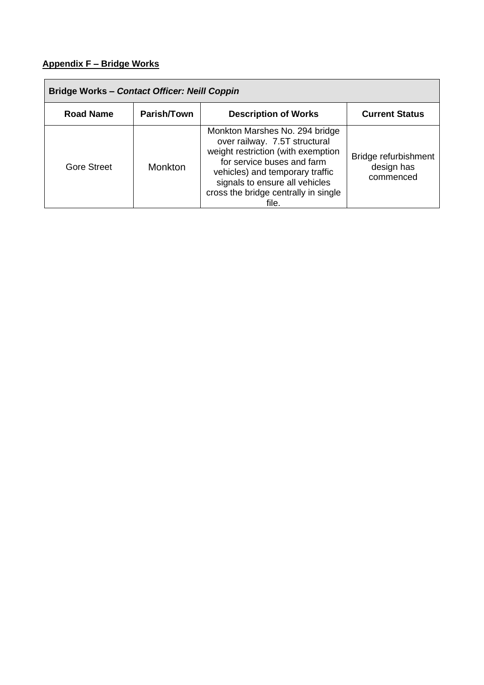## **Appendix F – Bridge Works**

| <b>Bridge Works - Contact Officer: Neill Coppin</b> |             |                                                                                                                                                                                                                                                           |                                                 |  |
|-----------------------------------------------------|-------------|-----------------------------------------------------------------------------------------------------------------------------------------------------------------------------------------------------------------------------------------------------------|-------------------------------------------------|--|
| <b>Road Name</b>                                    | Parish/Town | <b>Description of Works</b>                                                                                                                                                                                                                               | <b>Current Status</b>                           |  |
| <b>Gore Street</b>                                  | Monkton     | Monkton Marshes No. 294 bridge<br>over railway. 7.5T structural<br>weight restriction (with exemption<br>for service buses and farm<br>vehicles) and temporary traffic<br>signals to ensure all vehicles<br>cross the bridge centrally in single<br>file. | Bridge refurbishment<br>design has<br>commenced |  |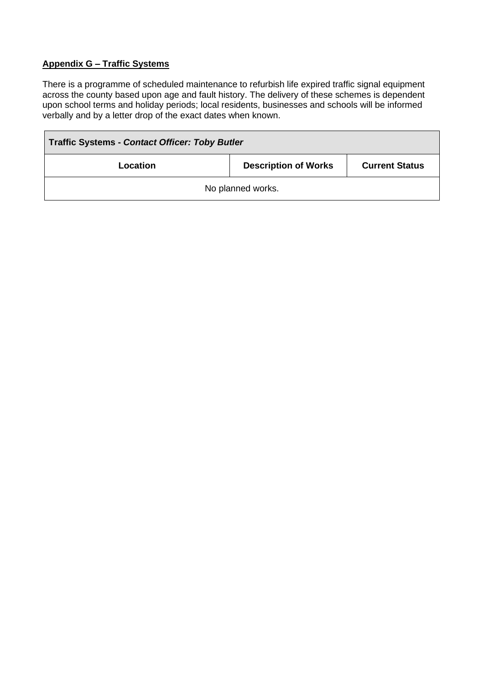### **Appendix G – Traffic Systems**

There is a programme of scheduled maintenance to refurbish life expired traffic signal equipment across the county based upon age and fault history. The delivery of these schemes is dependent upon school terms and holiday periods; local residents, businesses and schools will be informed verbally and by a letter drop of the exact dates when known.

| <b>Traffic Systems - Contact Officer: Toby Butler</b>            |  |  |  |  |  |
|------------------------------------------------------------------|--|--|--|--|--|
| <b>Description of Works</b><br><b>Current Status</b><br>Location |  |  |  |  |  |
| No planned works.                                                |  |  |  |  |  |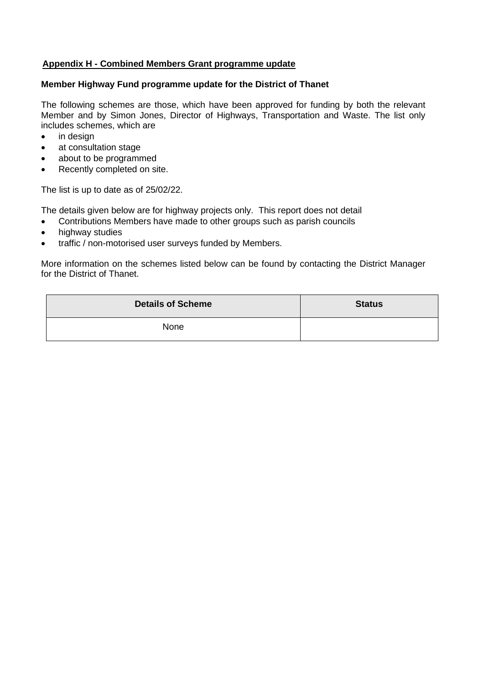#### **Appendix H - Combined Members Grant programme update**

## **Member Highway Fund programme update for the District of Thanet**

The following schemes are those, which have been approved for funding by both the relevant Member and by Simon Jones, Director of Highways, Transportation and Waste. The list only includes schemes, which are

- in design
- at consultation stage
- about to be programmed
- Recently completed on site.

The list is up to date as of 25/02/22.

The details given below are for highway projects only. This report does not detail

- Contributions Members have made to other groups such as parish councils
- highway studies
- traffic / non-motorised user surveys funded by Members.

More information on the schemes listed below can be found by contacting the District Manager for the District of Thanet.

| <b>Details of Scheme</b> | <b>Status</b> |
|--------------------------|---------------|
| None                     |               |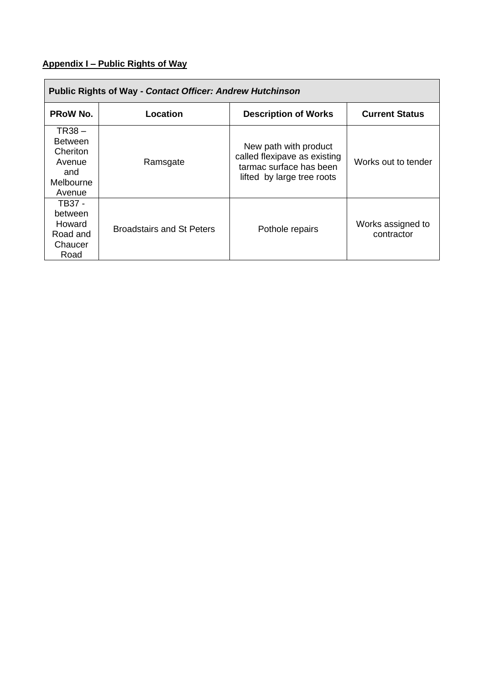## **Appendix I – Public Rights of Way**

| <b>Public Rights of Way - Contact Officer: Andrew Hutchinson</b>               |                                  |                                                                                                                |                                 |  |  |
|--------------------------------------------------------------------------------|----------------------------------|----------------------------------------------------------------------------------------------------------------|---------------------------------|--|--|
| <b>PROW No.</b>                                                                | Location                         | <b>Description of Works</b>                                                                                    | <b>Current Status</b>           |  |  |
| $TR38 -$<br><b>Between</b><br>Cheriton<br>Avenue<br>and<br>Melbourne<br>Avenue | Ramsgate                         | New path with product<br>called flexipave as existing<br>tarmac surface has been<br>lifted by large tree roots | Works out to tender             |  |  |
| TB37 -<br>between<br>Howard<br>Road and<br>Chaucer<br>Road                     | <b>Broadstairs and St Peters</b> | Pothole repairs                                                                                                | Works assigned to<br>contractor |  |  |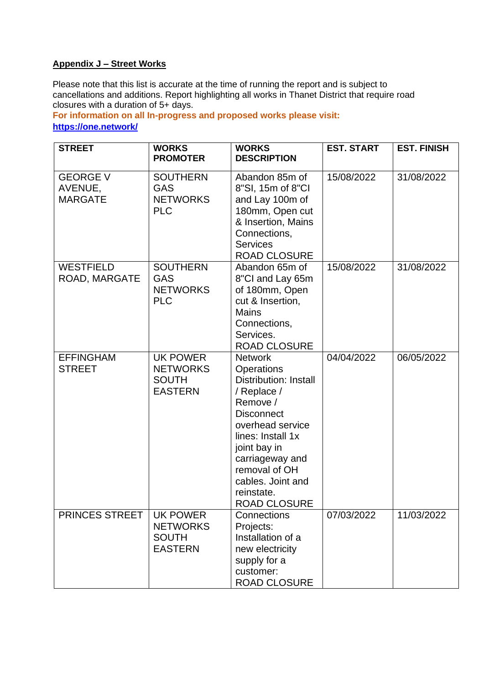## **Appendix J – Street Works**

Please note that this list is accurate at the time of running the report and is subject to cancellations and additions. Report highlighting all works in Thanet District that require road closures with a duration of 5+ days.

**For information on all In-progress and proposed works please visit: <https://one.network/>**

| <b>STREET</b>                                | <b>WORKS</b><br><b>PROMOTER</b>                                      | <b>WORKS</b><br><b>DESCRIPTION</b>                                                                                                                                                                                                                                         | <b>EST. START</b> | <b>EST. FINISH</b> |
|----------------------------------------------|----------------------------------------------------------------------|----------------------------------------------------------------------------------------------------------------------------------------------------------------------------------------------------------------------------------------------------------------------------|-------------------|--------------------|
| <b>GEORGE V</b><br>AVENUE,<br><b>MARGATE</b> | <b>SOUTHERN</b><br><b>GAS</b><br><b>NETWORKS</b><br><b>PLC</b>       | Abandon 85m of<br>8"SI, 15m of 8"CI<br>and Lay 100m of<br>180mm, Open cut<br>& Insertion, Mains<br>Connections,<br><b>Services</b><br><b>ROAD CLOSURE</b>                                                                                                                  | 15/08/2022        | 31/08/2022         |
| <b>WESTFIELD</b><br>ROAD, MARGATE            | <b>SOUTHERN</b><br><b>GAS</b><br><b>NETWORKS</b><br><b>PLC</b>       | Abandon 65m of<br>8"CI and Lay 65m<br>of 180mm, Open<br>cut & Insertion,<br><b>Mains</b><br>Connections,<br>Services.<br><b>ROAD CLOSURE</b>                                                                                                                               | 15/08/2022        | 31/08/2022         |
| <b>EFFINGHAM</b><br><b>STREET</b>            | UK POWER<br><b>NETWORKS</b><br><b>SOUTH</b><br><b>EASTERN</b>        | <b>Network</b><br><b>Operations</b><br><b>Distribution: Install</b><br>/ Replace /<br>Remove /<br><b>Disconnect</b><br>overhead service<br>lines: Install 1x<br>joint bay in<br>carriageway and<br>removal of OH<br>cables. Joint and<br>reinstate.<br><b>ROAD CLOSURE</b> | 04/04/2022        | 06/05/2022         |
| PRINCES STREET                               | <b>UK POWER</b><br><b>NETWORKS</b><br><b>SOUTH</b><br><b>EASTERN</b> | Connections<br>Projects:<br>Installation of a<br>new electricity<br>supply for a<br>customer:<br><b>ROAD CLOSURE</b>                                                                                                                                                       | 07/03/2022        | 11/03/2022         |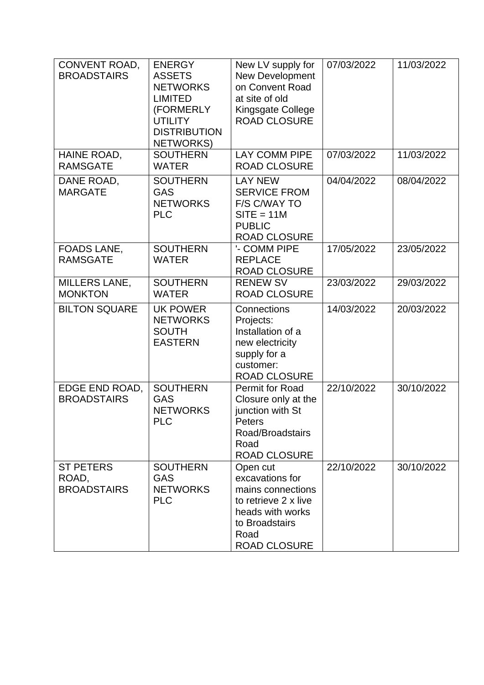| CONVENT ROAD,<br><b>BROADSTAIRS</b>             | <b>ENERGY</b><br><b>ASSETS</b><br><b>NETWORKS</b><br><b>LIMITED</b><br>(FORMERLY<br><b>UTILITY</b><br><b>DISTRIBUTION</b><br><b>NETWORKS)</b> | New LV supply for<br>New Development<br>on Convent Road<br>at site of old<br>Kingsgate College<br><b>ROAD CLOSURE</b>                         | 07/03/2022 | 11/03/2022 |
|-------------------------------------------------|-----------------------------------------------------------------------------------------------------------------------------------------------|-----------------------------------------------------------------------------------------------------------------------------------------------|------------|------------|
| HAINE ROAD,<br><b>RAMSGATE</b>                  | <b>SOUTHERN</b><br><b>WATER</b>                                                                                                               | <b>LAY COMM PIPE</b><br><b>ROAD CLOSURE</b>                                                                                                   | 07/03/2022 | 11/03/2022 |
| DANE ROAD,<br><b>MARGATE</b>                    | <b>SOUTHERN</b><br><b>GAS</b><br><b>NETWORKS</b><br><b>PLC</b>                                                                                | <b>LAY NEW</b><br><b>SERVICE FROM</b><br>F/S C/WAY TO<br>$SITE = 11M$<br><b>PUBLIC</b><br><b>ROAD CLOSURE</b>                                 | 04/04/2022 | 08/04/2022 |
| FOADS LANE,<br><b>RAMSGATE</b>                  | <b>SOUTHERN</b><br><b>WATER</b>                                                                                                               | '- COMM PIPE<br><b>REPLACE</b><br><b>ROAD CLOSURE</b>                                                                                         | 17/05/2022 | 23/05/2022 |
| <b>MILLERS LANE,</b><br><b>MONKTON</b>          | <b>SOUTHERN</b><br><b>WATER</b>                                                                                                               | <b>RENEW SV</b><br><b>ROAD CLOSURE</b>                                                                                                        | 23/03/2022 | 29/03/2022 |
| <b>BILTON SQUARE</b>                            | <b>UK POWER</b><br><b>NETWORKS</b><br><b>SOUTH</b><br><b>EASTERN</b>                                                                          | Connections<br>Projects:<br>Installation of a<br>new electricity<br>supply for a<br>customer:<br><b>ROAD CLOSURE</b>                          | 14/03/2022 | 20/03/2022 |
| EDGE END ROAD,<br><b>BROADSTAIRS</b>            | <b>SOUTHERN</b><br><b>GAS</b><br><b>NETWORKS</b><br><b>PLC</b>                                                                                | Permit for Road<br>Closure only at the<br>junction with St<br>Peters<br>Road/Broadstairs<br>Road<br><b>ROAD CLOSURE</b>                       | 22/10/2022 | 30/10/2022 |
| <b>ST PETERS</b><br>ROAD,<br><b>BROADSTAIRS</b> | <b>SOUTHERN</b><br><b>GAS</b><br><b>NETWORKS</b><br><b>PLC</b>                                                                                | Open cut<br>excavations for<br>mains connections<br>to retrieve 2 x live<br>heads with works<br>to Broadstairs<br>Road<br><b>ROAD CLOSURE</b> | 22/10/2022 | 30/10/2022 |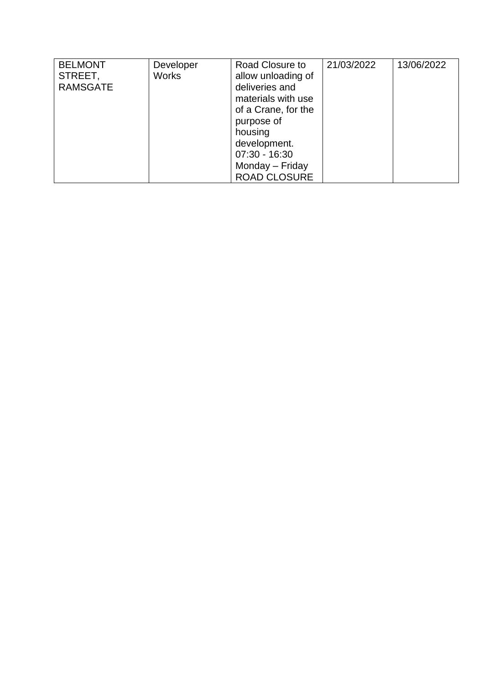| <b>BELMONT</b><br>STREET,<br><b>RAMSGATE</b> | Developer<br><b>Works</b> | Road Closure to<br>allow unloading of<br>deliveries and<br>materials with use<br>of a Crane, for the<br>purpose of<br>housing<br>development. | 21/03/2022 | 13/06/2022 |
|----------------------------------------------|---------------------------|-----------------------------------------------------------------------------------------------------------------------------------------------|------------|------------|
|                                              |                           |                                                                                                                                               |            |            |
|                                              |                           | $07:30 - 16:30$                                                                                                                               |            |            |
|                                              |                           | Monday - Friday                                                                                                                               |            |            |
|                                              |                           | <b>ROAD CLOSURE</b>                                                                                                                           |            |            |